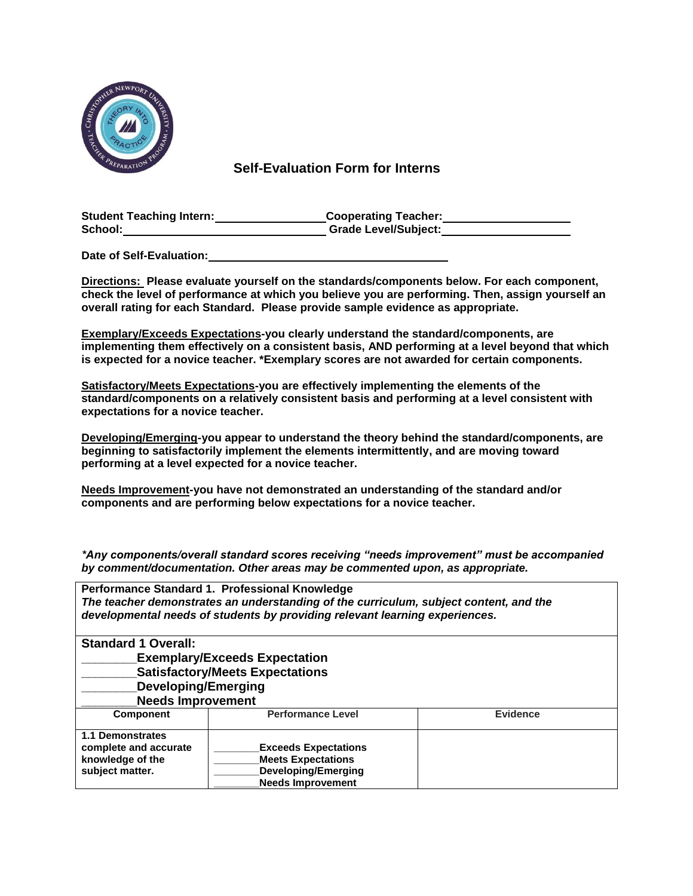

 **Self-Evaluation Form for Interns**

| <b>Student Teaching Intern:</b> | <b>Cooperating Teacher:</b> |
|---------------------------------|-----------------------------|
| School:                         | <b>Grade Level/Subject:</b> |

**Date of Self-Evaluation:** 

**Directions: Please evaluate yourself on the standards/components below. For each component, check the level of performance at which you believe you are performing. Then, assign yourself an overall rating for each Standard. Please provide sample evidence as appropriate.** 

**Exemplary/Exceeds Expectations-you clearly understand the standard/components, are implementing them effectively on a consistent basis, AND performing at a level beyond that which is expected for a novice teacher. \*Exemplary scores are not awarded for certain components.** 

**Satisfactory/Meets Expectations-you are effectively implementing the elements of the standard/components on a relatively consistent basis and performing at a level consistent with expectations for a novice teacher.** 

**Developing/Emerging-you appear to understand the theory behind the standard/components, are beginning to satisfactorily implement the elements intermittently, and are moving toward performing at a level expected for a novice teacher.** 

**Needs Improvement-you have not demonstrated an understanding of the standard and/or components and are performing below expectations for a novice teacher.** 

*\*Any components/overall standard scores receiving "needs improvement" must be accompanied by comment/documentation. Other areas may be commented upon, as appropriate.*

| Performance Standard 1. Professional Knowledge<br>The teacher demonstrates an understanding of the curriculum, subject content, and the<br>developmental needs of students by providing relevant learning experiences. |                                                                                                                    |                 |
|------------------------------------------------------------------------------------------------------------------------------------------------------------------------------------------------------------------------|--------------------------------------------------------------------------------------------------------------------|-----------------|
| <b>Standard 1 Overall:</b>                                                                                                                                                                                             |                                                                                                                    |                 |
|                                                                                                                                                                                                                        | <b>Exemplary/Exceeds Expectation</b>                                                                               |                 |
|                                                                                                                                                                                                                        | <b>Satisfactory/Meets Expectations</b>                                                                             |                 |
| <b>Developing/Emerging</b>                                                                                                                                                                                             |                                                                                                                    |                 |
| <b>Needs Improvement</b>                                                                                                                                                                                               |                                                                                                                    |                 |
| <b>Component</b>                                                                                                                                                                                                       | <b>Performance Level</b>                                                                                           | <b>Evidence</b> |
| 1.1 Demonstrates<br>complete and accurate<br>knowledge of the<br>subject matter.                                                                                                                                       | <b>Exceeds Expectations</b><br><b>Meets Expectations</b><br><b>Developing/Emerging</b><br><b>Needs Improvement</b> |                 |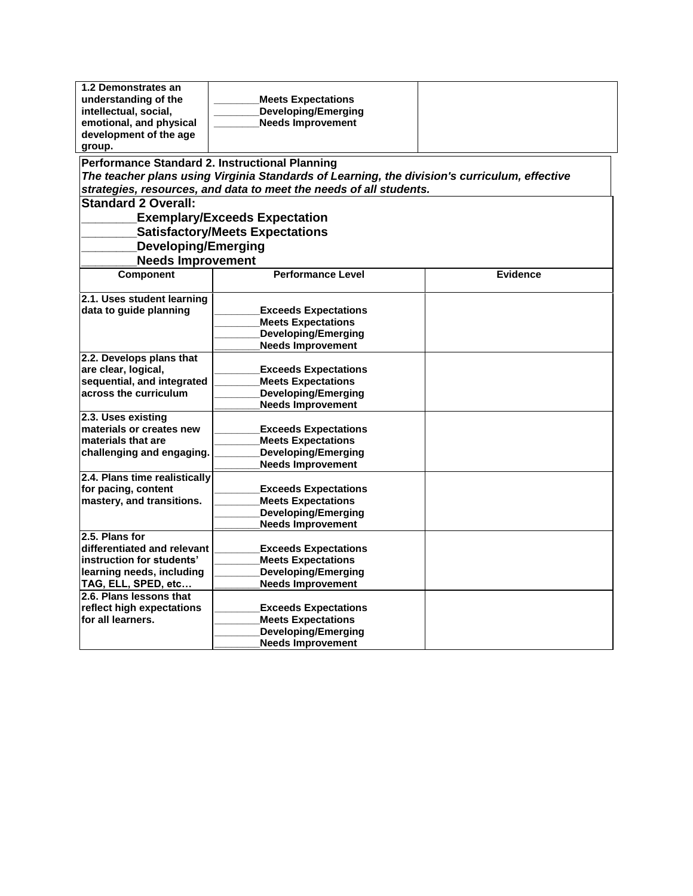| 1.2 Demonstrates an<br>understanding of the<br>intellectual, social,<br>emotional, and physical<br>development of the age<br>group.<br>Performance Standard 2. Instructional Planning | <b>Meets Expectations</b><br><b>Developing/Emerging</b><br><b>Needs Improvement</b><br>The teacher plans using Virginia Standards of Learning, the division's curriculum, effective |                 |
|---------------------------------------------------------------------------------------------------------------------------------------------------------------------------------------|-------------------------------------------------------------------------------------------------------------------------------------------------------------------------------------|-----------------|
|                                                                                                                                                                                       | strategies, resources, and data to meet the needs of all students.                                                                                                                  |                 |
| <b>Standard 2 Overall:</b>                                                                                                                                                            |                                                                                                                                                                                     |                 |
|                                                                                                                                                                                       | <b>Exemplary/Exceeds Expectation</b>                                                                                                                                                |                 |
|                                                                                                                                                                                       | <b>Satisfactory/Meets Expectations</b>                                                                                                                                              |                 |
| <b>Developing/Emerging</b>                                                                                                                                                            |                                                                                                                                                                                     |                 |
| <b>Needs Improvement</b>                                                                                                                                                              |                                                                                                                                                                                     |                 |
| <b>Component</b>                                                                                                                                                                      | <b>Performance Level</b>                                                                                                                                                            | <b>Evidence</b> |
|                                                                                                                                                                                       |                                                                                                                                                                                     |                 |
| 2.1. Uses student learning                                                                                                                                                            |                                                                                                                                                                                     |                 |
| data to guide planning                                                                                                                                                                | <b>Exceeds Expectations</b>                                                                                                                                                         |                 |
|                                                                                                                                                                                       | <b>Meets Expectations</b>                                                                                                                                                           |                 |
|                                                                                                                                                                                       | <b>Developing/Emerging</b>                                                                                                                                                          |                 |
|                                                                                                                                                                                       | <b>Needs Improvement</b>                                                                                                                                                            |                 |
| 2.2. Develops plans that                                                                                                                                                              |                                                                                                                                                                                     |                 |
| are clear, logical,                                                                                                                                                                   | <b>Exceeds Expectations</b>                                                                                                                                                         |                 |
| sequential, and integrated                                                                                                                                                            | <b>Meets Expectations</b>                                                                                                                                                           |                 |
| across the curriculum                                                                                                                                                                 | <b>Developing/Emerging</b>                                                                                                                                                          |                 |
|                                                                                                                                                                                       | <b>Needs Improvement</b>                                                                                                                                                            |                 |
| 2.3. Uses existing                                                                                                                                                                    |                                                                                                                                                                                     |                 |
| materials or creates new                                                                                                                                                              | <b>Exceeds Expectations</b>                                                                                                                                                         |                 |
| materials that are                                                                                                                                                                    | <b>Meets Expectations</b>                                                                                                                                                           |                 |
| challenging and engaging.                                                                                                                                                             | <b>Developing/Emerging</b>                                                                                                                                                          |                 |
|                                                                                                                                                                                       | <b>Needs Improvement</b>                                                                                                                                                            |                 |
| 2.4. Plans time realistically                                                                                                                                                         |                                                                                                                                                                                     |                 |
| for pacing, content                                                                                                                                                                   | <b>Exceeds Expectations</b>                                                                                                                                                         |                 |
| mastery, and transitions.                                                                                                                                                             | <b>Meets Expectations</b>                                                                                                                                                           |                 |
|                                                                                                                                                                                       | <b>Developing/Emerging</b>                                                                                                                                                          |                 |
| 2.5. Plans for                                                                                                                                                                        | <b>Needs Improvement</b>                                                                                                                                                            |                 |
| differentiated and relevant                                                                                                                                                           |                                                                                                                                                                                     |                 |
| instruction for students'                                                                                                                                                             | <b>Exceeds Expectations</b><br><b>Meets Expectations</b>                                                                                                                            |                 |
| learning needs, including                                                                                                                                                             | <b>Developing/Emerging</b>                                                                                                                                                          |                 |
| TAG, ELL, SPED, etc                                                                                                                                                                   | <b>Needs Improvement</b>                                                                                                                                                            |                 |
| 2.6. Plans lessons that                                                                                                                                                               |                                                                                                                                                                                     |                 |
| reflect high expectations                                                                                                                                                             | <b>Exceeds Expectations</b>                                                                                                                                                         |                 |
| for all learners.                                                                                                                                                                     | <b>Meets Expectations</b>                                                                                                                                                           |                 |
|                                                                                                                                                                                       | <b>Developing/Emerging</b>                                                                                                                                                          |                 |
|                                                                                                                                                                                       | <b>Needs Improvement</b>                                                                                                                                                            |                 |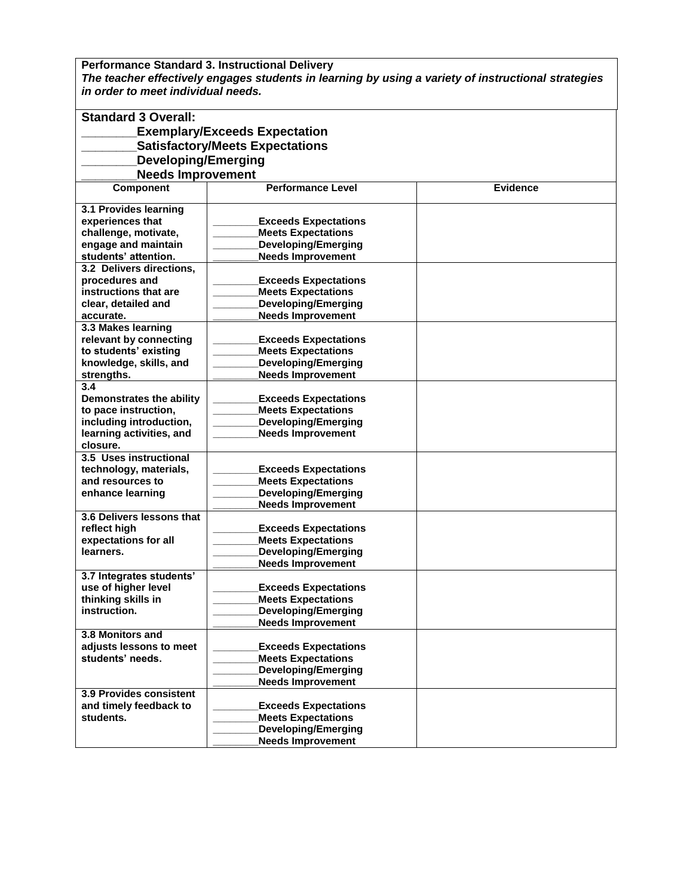**Performance Standard 3. Instructional Delivery** *The teacher effectively engages students in learning by using a variety of instructional strategies in order to meet individual needs.*

| <b>Standard 3 Overall:</b>                      |                                                          |                 |
|-------------------------------------------------|----------------------------------------------------------|-----------------|
|                                                 | <b>Exemplary/Exceeds Expectation</b>                     |                 |
|                                                 | <b>Satisfactory/Meets Expectations</b>                   |                 |
| <b>Developing/Emerging</b>                      |                                                          |                 |
| <b>Needs Improvement</b>                        |                                                          |                 |
| <b>Component</b>                                | <b>Performance Level</b>                                 | <b>Evidence</b> |
|                                                 |                                                          |                 |
| 3.1 Provides learning                           |                                                          |                 |
| experiences that                                | <b>Exceeds Expectations</b>                              |                 |
| challenge, motivate,                            | <b>Meets Expectations</b>                                |                 |
| engage and maintain                             | <b>Developing/Emerging</b>                               |                 |
| students' attention.                            | <b>Needs Improvement</b>                                 |                 |
| 3.2 Delivers directions.                        |                                                          |                 |
| procedures and                                  | <b>Exceeds Expectations</b>                              |                 |
| instructions that are                           | <b>Meets Expectations</b>                                |                 |
| clear, detailed and                             | <b>Developing/Emerging</b>                               |                 |
| accurate.                                       | <b>Needs Improvement</b>                                 |                 |
| 3.3 Makes learning                              |                                                          |                 |
| relevant by connecting                          | <b>Exceeds Expectations</b>                              |                 |
| to students' existing                           | <b>Meets Expectations</b>                                |                 |
| knowledge, skills, and                          | <b>Developing/Emerging</b>                               |                 |
| strengths.                                      | <b>Needs Improvement</b>                                 |                 |
| 3.4                                             |                                                          |                 |
| Demonstrates the ability                        | <b>Exceeds Expectations</b>                              |                 |
| to pace instruction,                            | <b>Meets Expectations</b>                                |                 |
| including introduction,                         | <b>Developing/Emerging</b>                               |                 |
| learning activities, and                        | <b>Needs Improvement</b>                                 |                 |
| closure.                                        |                                                          |                 |
| 3.5 Uses instructional                          |                                                          |                 |
| technology, materials,                          | <b>Exceeds Expectations</b>                              |                 |
| and resources to                                | <b>Meets Expectations</b>                                |                 |
| enhance learning                                | <b>Developing/Emerging</b>                               |                 |
|                                                 | <b>Needs Improvement</b>                                 |                 |
| 3.6 Delivers lessons that                       |                                                          |                 |
| reflect high                                    | <b>Exceeds Expectations</b>                              |                 |
| expectations for all                            | <b>Meets Expectations</b>                                |                 |
| learners.                                       | <b>Developing/Emerging</b>                               |                 |
|                                                 | <b>Needs Improvement</b>                                 |                 |
| 3.7 Integrates students'<br>use of higher level |                                                          |                 |
| thinking skills in                              | <b>Exceeds Expectations</b><br><b>Meets Expectations</b> |                 |
|                                                 |                                                          |                 |
| instruction.                                    | Developing/Emerging<br><b>Needs Improvement</b>          |                 |
| 3.8 Monitors and                                |                                                          |                 |
| adjusts lessons to meet                         | <b>Exceeds Expectations</b>                              |                 |
| students' needs.                                | <b>Meets Expectations</b>                                |                 |
|                                                 | <b>Developing/Emerging</b>                               |                 |
|                                                 | <b>Needs Improvement</b>                                 |                 |
| 3.9 Provides consistent                         |                                                          |                 |
| and timely feedback to                          | <b>Exceeds Expectations</b>                              |                 |
| students.                                       | <b>Meets Expectations</b>                                |                 |
|                                                 | <b>Developing/Emerging</b>                               |                 |
|                                                 | <b>Needs Improvement</b>                                 |                 |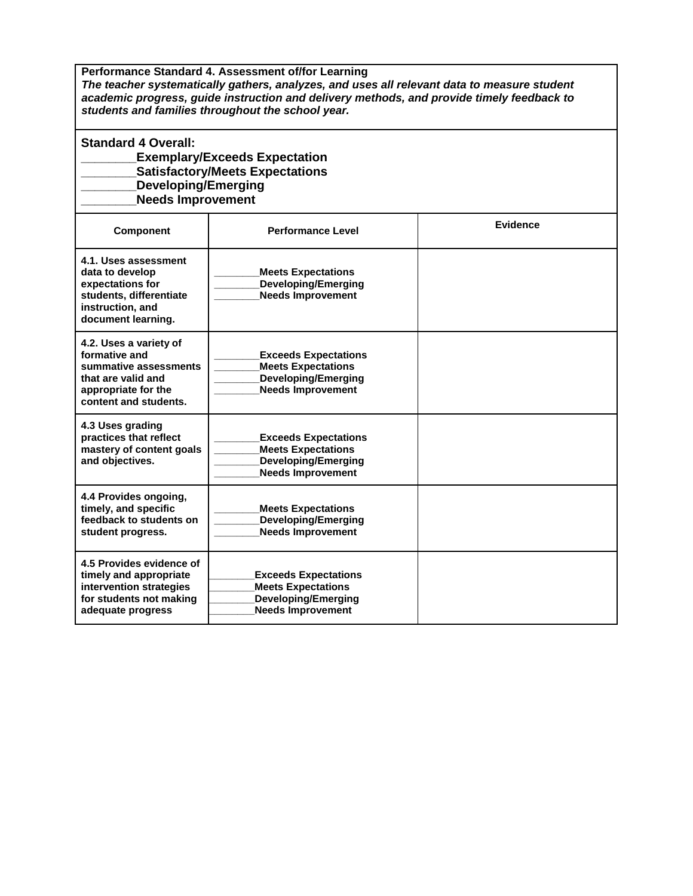**Performance Standard 4. Assessment of/for Learning**  *The teacher systematically gathers, analyzes, and uses all relevant data to measure student academic progress, guide instruction and delivery methods, and provide timely feedback to students and families throughout the school year.*

## **Standard 4 Overall:**

## **\_\_\_\_\_\_\_\_Exemplary/Exceeds Expectation \_\_\_\_\_\_\_\_Satisfactory/Meets Expectations \_\_\_\_\_\_\_\_Developing/Emerging**

**\_\_\_\_\_\_\_\_Needs Improvement**

| Component                                                                                                                              | <b>Performance Level</b>                                                                                           | Evidence |
|----------------------------------------------------------------------------------------------------------------------------------------|--------------------------------------------------------------------------------------------------------------------|----------|
| 4.1. Uses assessment<br>data to develop<br>expectations for<br>students, differentiate<br>instruction, and<br>document learning.       | <b>Meets Expectations</b><br><b>Developing/Emerging</b><br><b>Needs Improvement</b>                                |          |
| 4.2. Uses a variety of<br>formative and<br>summative assessments<br>that are valid and<br>appropriate for the<br>content and students. | <b>Exceeds Expectations</b><br><b>Meets Expectations</b><br><b>Developing/Emerging</b><br><b>Needs Improvement</b> |          |
| 4.3 Uses grading<br>practices that reflect<br>mastery of content goals<br>and objectives.                                              | <b>Exceeds Expectations</b><br><b>Meets Expectations</b><br><b>Developing/Emerging</b><br><b>Needs Improvement</b> |          |
| 4.4 Provides ongoing,<br>timely, and specific<br>feedback to students on<br>student progress.                                          | <b>Meets Expectations</b><br><b>Developing/Emerging</b><br><b>Needs Improvement</b>                                |          |
| 4.5 Provides evidence of<br>timely and appropriate<br>intervention strategies<br>for students not making<br>adequate progress          | <b>Exceeds Expectations</b><br><b>Meets Expectations</b><br><b>Developing/Emerging</b><br><b>Needs Improvement</b> |          |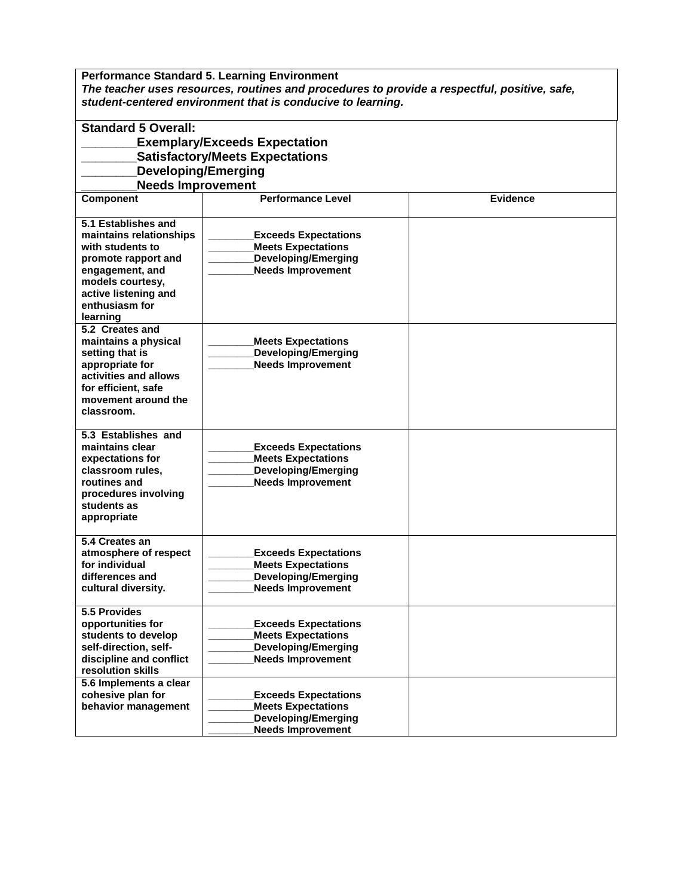**Performance Standard 5. Learning Environment**  *The teacher uses resources, routines and procedures to provide a respectful, positive, safe, student-centered environment that is conducive to learning.*

| <b>Standard 5 Overall:</b><br><b>Exemplary/Exceeds Expectation</b><br><b>Satisfactory/Meets Expectations</b>                                                                           |                                                                                                                    |                 |
|----------------------------------------------------------------------------------------------------------------------------------------------------------------------------------------|--------------------------------------------------------------------------------------------------------------------|-----------------|
| <b>Developing/Emerging</b>                                                                                                                                                             |                                                                                                                    |                 |
| <b>Needs Improvement</b>                                                                                                                                                               |                                                                                                                    |                 |
| <b>Component</b>                                                                                                                                                                       | <b>Performance Level</b>                                                                                           | <b>Evidence</b> |
| 5.1 Establishes and<br>maintains relationships<br>with students to<br>promote rapport and<br>engagement, and<br>models courtesy,<br>active listening and<br>enthusiasm for<br>learning | <b>Exceeds Expectations</b><br><b>Meets Expectations</b><br><b>Developing/Emerging</b><br><b>Needs Improvement</b> |                 |
| 5.2 Creates and<br>maintains a physical<br>setting that is<br>appropriate for<br>activities and allows<br>for efficient, safe<br>movement around the<br>classroom.                     | <b>Meets Expectations</b><br><b>Developing/Emerging</b><br><b>Needs Improvement</b>                                |                 |
| 5.3 Establishes and<br>maintains clear<br>expectations for<br>classroom rules,<br>routines and<br>procedures involving<br>students as<br>appropriate                                   | <b>Exceeds Expectations</b><br><b>Meets Expectations</b><br><b>Developing/Emerging</b><br><b>Needs Improvement</b> |                 |
| 5.4 Creates an<br>atmosphere of respect<br>for individual<br>differences and<br>cultural diversity.                                                                                    | <b>Exceeds Expectations</b><br><b>Meets Expectations</b><br><b>Developing/Emerging</b><br><b>Needs Improvement</b> |                 |
| 5.5 Provides<br>opportunities for<br>students to develop<br>self-direction, self-<br>discipline and conflict<br>resolution skills                                                      | <b>Exceeds Expectations</b><br><b>Meets Expectations</b><br>Developing/Emerging<br><b>Needs Improvement</b>        |                 |
| 5.6 Implements a clear<br>cohesive plan for<br>behavior management                                                                                                                     | <b>Exceeds Expectations</b><br><b>Meets Expectations</b><br><b>Developing/Emerging</b><br><b>Needs Improvement</b> |                 |